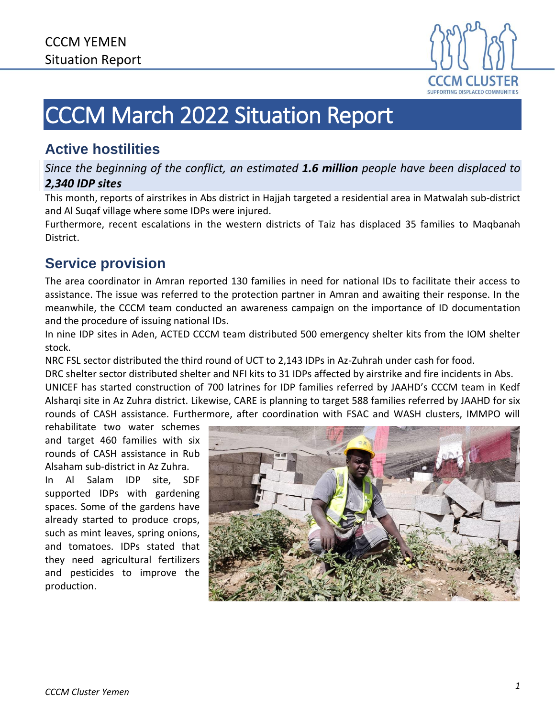

# CCCM March 2022 Situation Report

### **Active hostilities**

*Since the beginning of the conflict, an estimated 1.6 million people have been displaced to 2,340 IDP sites*

This month, reports of airstrikes in Abs district in Hajjah targeted a residential area in Matwalah sub-district and Al Suqaf village where some IDPs were injured.

Furthermore, recent escalations in the western districts of Taiz has displaced 35 families to Maqbanah District.

## **Service provision**

The area coordinator in Amran reported 130 families in need for national IDs to facilitate their access to assistance. The issue was referred to the protection partner in Amran and awaiting their response. In the meanwhile, the CCCM team conducted an awareness campaign on the importance of ID documentation and the procedure of issuing national IDs.

In nine IDP sites in Aden, ACTED CCCM team distributed 500 emergency shelter kits from the IOM shelter stock.

NRC FSL sector distributed the third round of UCT to 2,143 IDPs in Az-Zuhrah under cash for food.

DRC shelter sector distributed shelter and NFI kits to 31 IDPs affected by airstrike and fire incidents in Abs. UNICEF has started construction of 700 latrines for IDP families referred by JAAHD's CCCM team in Kedf Alsharqi site in Az Zuhra district. Likewise, CARE is planning to target 588 families referred by JAAHD for six rounds of CASH assistance. Furthermore, after coordination with FSAC and WASH clusters, IMMPO will

rehabilitate two water schemes and target 460 families with six rounds of CASH assistance in Rub Alsaham sub-district in Az Zuhra.

In Al Salam IDP site, SDF supported IDPs with gardening spaces. Some of the gardens have already started to produce crops, such as mint leaves, spring onions, and tomatoes. IDPs stated that they need agricultural fertilizers and pesticides to improve the production.

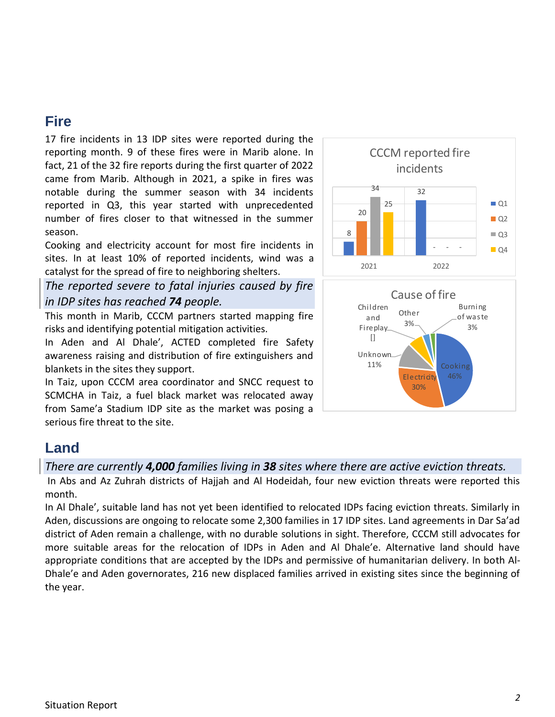#### **Fire**

17 fire incidents in 13 IDP sites were reported during the reporting month. 9 of these fires were in Marib alone. In fact, 21 of the 32 fire reports during the first quarter of 2022 came from Marib. Although in 2021, a spike in fires was notable during the summer season with 34 incidents reported in Q3, this year started with unprecedented number of fires closer to that witnessed in the summer season.

Cooking and electricity account for most fire incidents in sites. In at least 10% of reported incidents, wind was a catalyst for the spread of fire to neighboring shelters.

*The reported severe to fatal injuries caused by fire in IDP sites has reached 74 people.*

This month in Marib, CCCM partners started mapping fire risks and identifying potential mitigation activities.

In Aden and Al Dhale', ACTED completed fire Safety awareness raising and distribution of fire extinguishers and blankets in the sites they support.

In Taiz, upon CCCM area coordinator and SNCC request to SCMCHA in Taiz, a fuel black market was relocated away from Same'a Stadium IDP site as the market was posing a serious fire threat to the site.





#### **Land**

*There are currently 4,000 families living in 38 sites where there are active eviction threats.*

In Abs and Az Zuhrah districts of Hajjah and Al Hodeidah, four new eviction threats were reported this month.

In Al Dhale', suitable land has not yet been identified to relocated IDPs facing eviction threats. Similarly in Aden, discussions are ongoing to relocate some 2,300 families in 17 IDP sites. Land agreements in Dar Sa'ad district of Aden remain a challenge, with no durable solutions in sight. Therefore, CCCM still advocates for more suitable areas for the relocation of IDPs in Aden and Al Dhale'e. Alternative land should have appropriate conditions that are accepted by the IDPs and permissive of humanitarian delivery. In both Al-Dhale'e and Aden governorates, 216 new displaced families arrived in existing sites since the beginning of the year.